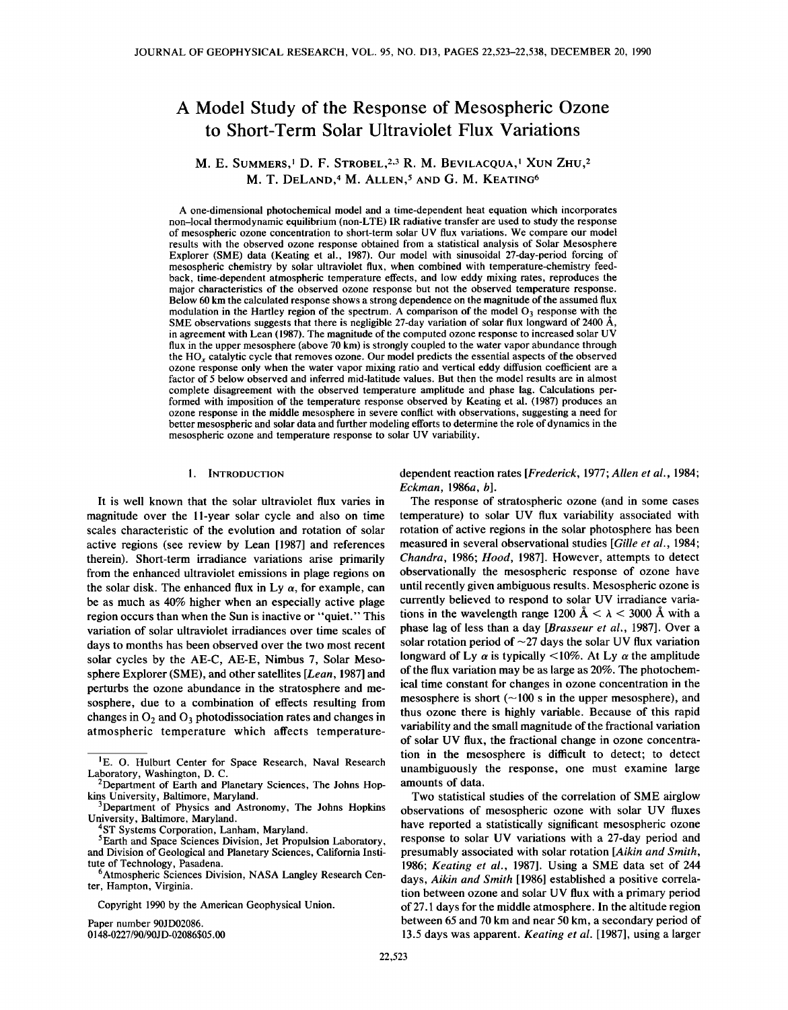# A Model Study of the Response of Mesospheric Ozone to Short-Term Solar Ultraviolet Flux Variations

M. E. SUMMERS,<sup>1</sup> D. F. STROBEL,<sup>2,3</sup> R. M. BEVILACQUA,<sup>1</sup> XUN ZHU,<sup>2</sup> M. T. DELAND,<sup>4</sup> M. ALLEN,<sup>5</sup> AND G. M. KEATING<sup>6</sup>

A one-dimensional photochemical model and a time-dependent heat equation which incorporates non-local thermodynamic equilibrium (non-LTE) IR radiative transfer are used to study the response of mesospheric ozone concentration to short-term solar UV flux variations. We compare our model results with the observed ozone response obtained from a statistical analysis of Solar Mesosphere Explorer (SME) data (Keating et aI., 1987). Our model with sinusoidal 27-day-period forcing of mesospheric chemistry by solar ultraviolet flux, when combined with temperature-chemistry feedback, time-dependent atmospheric temperature effects, and low eddy mixing rates, reproduces the major characteristics of the observed ozone response but not the observed temperature response. Below 60 km the calculated response shows a strong dependence on the magnitude of the assumed flux modulation in the Hartley region of the spectrum. A comparison of the model  $O<sub>3</sub>$  response with the SME observations suggests that there is negligible 27-day variation of solar flux longward of 2400  $\AA$ , in agreement with Lean (1987). The magnitude of the computed ozone response to increased solar UV flux in the upper mesosphere (above 70 km) is strongly coupled to the water vapor abundance through the HO<sub>x</sub> catalytic cycle that removes ozone. Our model predicts the essential aspects of the observed ozone response only when the water vapor mixing ratio and vertical eddy diffusion coefficient are a factor of 5 below observed and inferred mid-latitude values. But then the model results are in almost complete disagreement with the observed temperature amplitude and phase lag. Calculations per-<br>formed with imposition of the temperature response observed by Keating et al. (1987) produces an ozone response in the middle mesosphere in severe conflict with observations, suggesting a need for better mesospheric and solar data and further modeling efforts to determine the role of dynamics in the mesospheric ozone and temperature response to solar UV variability.

# I. INTRODUCTION

It is well known that the solar ultraviolet flux varies in magnitude over the II-year solar cycle and also on time scales characteristic of the evolution and rotation of solar active regions (see review by Lean [1987] and references therein). Short-term irradiance variations arise primarily from the enhanced ultraviolet emissions in plage regions on the solar disk. The enhanced flux in Ly  $\alpha$ , for example, can be as much as 40% higher when an especially active plage region occurs than when the Sun is inactive or "quiet." This variation of solar ultraviolet irradiances over time scales of days to months has been observed over the two most recent solar cycles by the AE-C, AE-E, Nimbus 7, Solar Mesosphere Explorer (SME), and other satellites *[Lean,* 1987] and perturbs the ozone abundance in the stratosphere and mesosphere, due to a combination of effects resulting from changes in  $O_2$  and  $O_3$  photodissociation rates and changes in atmospheric temperature which affects temperature-

Copyright 1990 by the American Geophysical Union.

Paper number 90JD02086. *0148-0227/90/9OJD-02086\$05.oo* dependent reaction rates *[Frederick,* 1977; *Allen et al., 1984; Eckman,* 1986a, *b].*

The response of stratospheric ozone (and in some cases temperature) to solar UV flux variability associated with rotation of active regions in the solar photosphere has been measured in several observational studies *[Gille et al., 1984; Chandra,* 1986; *Hood,* 1987]. However, attempts to detect observationally the mesospheric response of ozone have until recently given ambiguous results. Mesospheric ozone is currently believed to respond to solar UV irradiance variations in the wavelength range 1200  $\AA < \lambda < 3000$  Å with a phase lag of less than a day *[Brasseur et al.,* 1987]. Over a solar rotation period of  $\sim$ 27 days the solar UV flux variation longward of Ly  $\alpha$  is typically <10%. At Ly  $\alpha$  the amplitude of the flux variation may be as large as 20%. The photochemical time constant for changes in ozone concentration in the mesosphere is short  $(-100 \text{ s}$  in the upper mesosphere), and thus ozone there is highly variable. Because of this rapid variability and the small magnitude of the fractional variation of solar UV flux, the fractional change in ozone concentration in the mesosphere is difficult to detect; to detect unambiguously the response, one must examine large amounts of data.

Two statistical studies of the correlation of SME airglow observations of mesospheric ozone with solar UV fluxes have reported a statistically significant mesospheric ozone response to solar UV variations with a 27-day period and presumably associated with solar rotation *[Aikin and Smith, 1986; Keating et al.,* 1987]. Using a SME data set of 244 days, *Aikin and Smith* [1986] established a positive correlation between ozone and solar UV flux with a primary period of 27.1 days for the middle atmosphere. In the altitude region between 65 and 70 km and near 50 km, a secondary period of 13.5 days was apparent. *Keating et al.* [1987], using a larger

<sup>&</sup>lt;sup>1</sup>E. O. Hulburt Center for Space Research, Naval Research Laboratory, Washington, D. C.

<sup>2</sup>Department of Earth and Planetary Sciences, The Johns Hopkins University, Baltimore, Maryland.

Bepartment of Physics and Astronomy, The Johns Hopkins University, Baltimore, Maryland.

ST Systems Corporation, Lanham, Maryland.

<sup>5</sup>Earth and Space Sciences Division, Jet Propulsion Laboratory, and Division of Geological and Planetary Sciences, California Institute of Technology, Pasadena.<br><sup>6</sup>Atmospheric Sciences Division, NASA Langley Research Cen-

ter, Hampton, Virginia.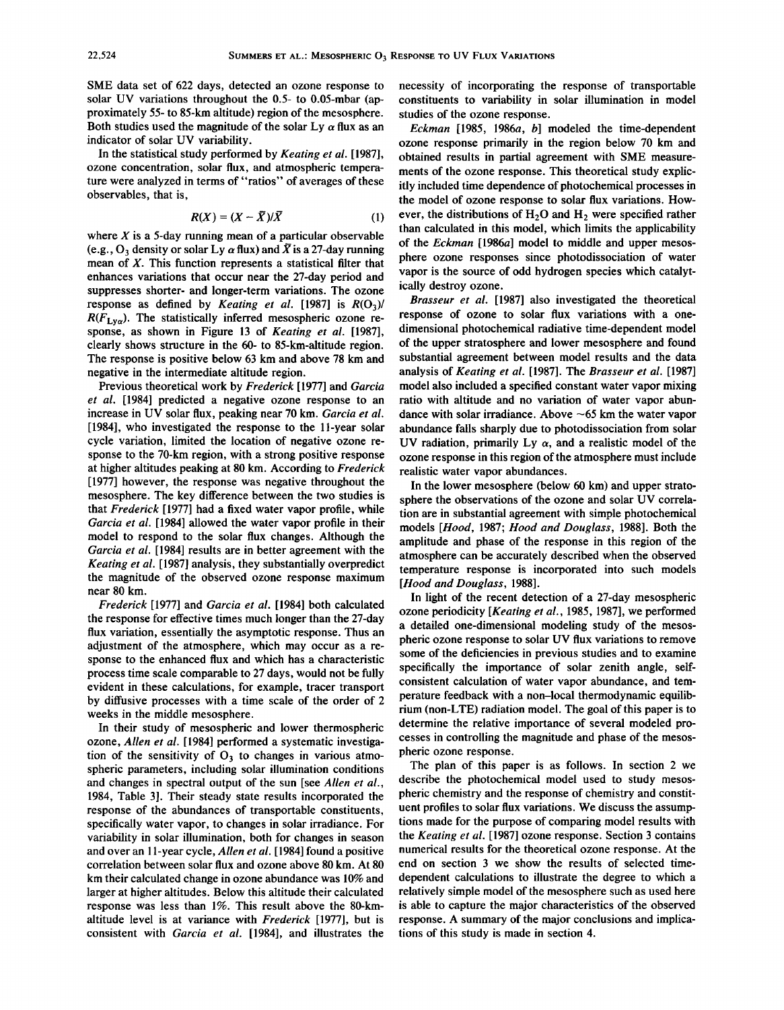SME data set of 622 days, detected an ozone response to solar UV variations throughout the 0.5- to 0.05-mbar (approximately 55- to 85-km altitude) region of the mesosphere. Both studies used the magnitude of the solar Ly  $\alpha$  flux as an indicator of solar UV variability.

In the statistical study performed by *Keating et al. [1987],* ozone concentration, solar flux, and atmospheric temperature were analyzed in terms of "ratios" of averages of these observables, that is,

$$
R(X) = (X - \overline{X})/\overline{X}
$$
 (1)

where  $X$  is a 5-day running mean of a particular observable (e.g.,  $O_3$  density or solar Ly  $\alpha$  flux) and  $\bar{X}$  is a 27-day running mean of  $X$ . This function represents a statistical filter that enhances variations that occur near the 27-day period and suppresses shorter- and longer-term variations. The ozone response as defined by *Keating et al.* [1987] is  $R(O_3)$ /  $R(F<sub>Lva</sub>)$ . The statistically inferred mesospheric ozone response, as shown in Figure 13 of *Keating et al. [1987],* clearly shows structure in the 60- to 85-km-altitude region. The response is positive below 63 km and above 78 km and negative in the intermediate altitude region.

Previous theoretical work by *Frederick* [1977] and *Garcia et al.* [1984] predicted a negative ozone response to an increase in UV solar flux, peaking near 70 km. *Garcia et al.* [1984], who investigated the response to the ll-year solar cycle variation, limited the location of negative ozone response to the 70-km region, with a strong positive response at higher altitudes peaking at 80 km. According to *Frederick* [1977] however, the response was negative throughout the mesosphere. The key difference between the two studies is that *Frederick* [1977] had a fixed water vapor profile, while *Garcia et al.* [1984] allowed the water vapor profile in their model to respond to the solar flux changes. Although the *Garcia et al.* [1984] results are in better agreement with the *Keating et al.* [1987] analysis, they substantially overpredict the magnitude of the observed ozone response maximum near 80 km.

*Frederick* [1977] and *Garcia et al.* [1984] both calculated the response for effective times much longer than the 27-day flux variation, essentially the asymptotic response. Thus an adjustment of the atmosphere, which may occur as a response to the enhanced flux and which has a characteristic process time scale comparable to 27 days, would not be fully evident in these calculations, for example, tracer transport by diffusive processes with a time scale of the order of 2 weeks in the middle mesosphere.

In their study of mesospheric and lower thermospheric ozone, *Allen et al.* [1984] performed a systematic investigation of the sensitivity of  $O_3$  to changes in various atmospheric parameters, including solar illumination conditions and changes in spectral output of the sun [see *Allen et al.,* 1984, Table 3]. Their steady state results incorporated the response of the abundances of transportable constituents, specifically water vapor, to changes in solar irradiance. For variability in solar illumination, both for changes in season and over an II-year cycle, *Allen et al.* [1984] found a positive correlation between solar flux and ozone above 80 km. At 80 km their calculated change in ozone abundance was 10% and larger at higher altitudes. Below this altitude their calculated response was less than 1%. This result above the 80-kmaltitude level is at variance with *Frederick* [1977], but is consistent with *Garcia et al.* [1984], and illustrates the necessity of incorporating the response of transportable constituents to variability in solar illumination in model studies of the ozone response.

*Eckman* [1985, I*986a*, *b]* modeled the time-dependent ozone response primarily in the region below 70 km and obtained results in partial agreement with SME measurements of the ozone response. This theoretical study explicitly included time dependence of photochemical processes in the model of ozone response to solar flux variations. However, the distributions of H<sub>2</sub>O and H<sub>2</sub> were specified rather than calculated in this model, which limits the applicability of the *Eckman [l986a]* model to middle and upper mesosphere ozone responses since photodissociation of water vapor is the source of odd hydrogen species which catalytically destroy ozone.

*Brasseur et al.* [1987] also investigated the theoretical response of ozone to solar flux variations with a onedimensional photochemical radiative time-dependent model of the upper stratosphere and lower mesosphere and found substantial agreement between model results and the data analysis of *Keating et al.* [1987]. The *Brasseur et al. [1987]* model also included a specified constant water vapor mixing ratio with altitude and no variation of water vapor abundance with solar irradiance. Above  $\sim 65$  km the water vapor abundance falls sharply due to photodissociation from solar UV radiation, primarily Ly  $\alpha$ , and a realistic model of the ozone response in this region of the atmosphere must include realistic water vapor abundances.

In the lower mesosphere (below 60 km) and upper stratosphere the observations of the ozone and solar UV correlation are in substantial agreement with simple photochemical models *[Hood,* 1987; *Hood and Douglass,* 1988]. Both the amplitude and phase of the response in this region of the atmosphere can be accurately described when the observed temperature response is incorporated into such models *[Hood and Douglass, 1988].*

In light of the recent detection of a 27-day mesospheric ozone periodicity *[Keating et al.,* 1985, 1987], we performed a detailed one-dimensional modeling study of the mesospheric ozone response to solar UV flux variations to remove some of the deficiencies in previous studies and to examine specifically the importance of solar zenith angle, selfconsistent calculation of water vapor abundance, and temperature feedback with a non-local thermodynamic equilibrium (non-LTE) radiation model. The goal of this paper is to determine the relative importance of several modeled processes in controlling the magnitude and phase of the mesospheric ozone response.

The plan of this paper is as follows. In section 2 we describe the photochemical model used to study mesospheric chemistry and the response of chemistry and constituent profiles to solar flux variations. We discuss the assumptions made for the purpose of comparing model results with the *Keating et al.* [1987] ozone response. Section 3 contains numerical results for the theoretical ozone response. At the end on section 3 we show the results of selected timedependent calculations to illustrate the degree to which a relatively simple model of the mesosphere such as used here is able to capture the major characteristics of the observed response. A summary of the major conclusions and implications of this study is made in section 4.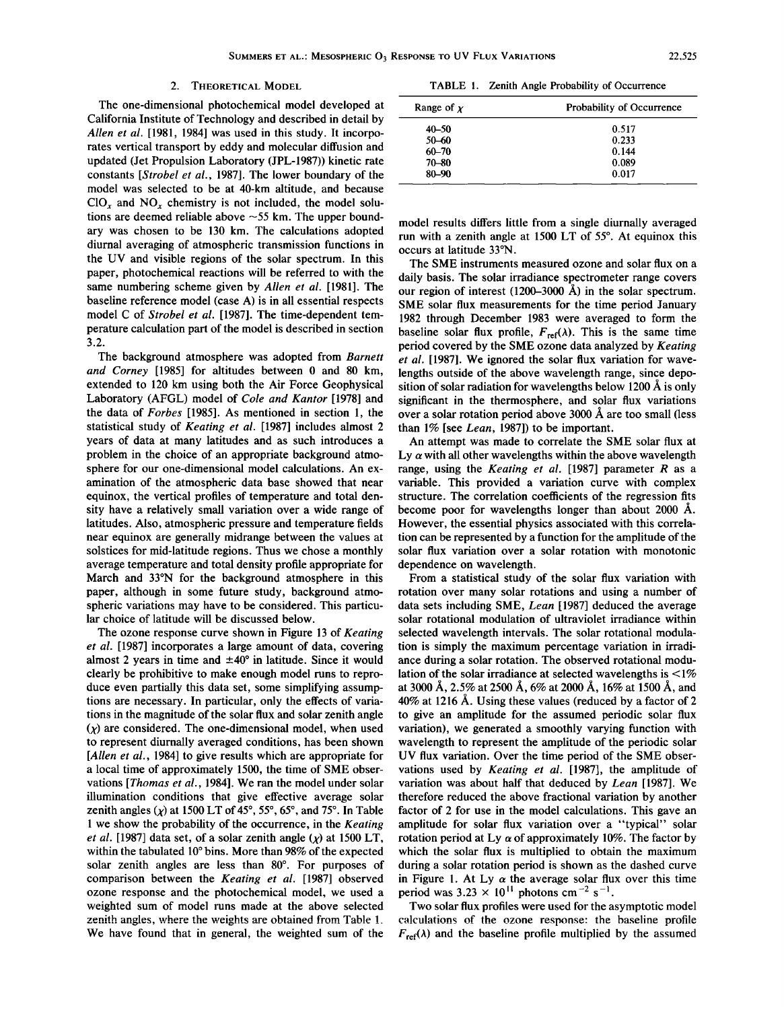#### 2. THEORETICAL MODEL

The one-dimensional photochemical model developed at California Institute of Technology and described in detail by *Allen et al.* [1981, 1984] was used in this study. It incorporates vertical transport by eddy and molecular diffusion and updated (Jet Propulsion Laboratory (JPL-1987)) kinetic rate constants *[Strobel et al.,* 1987]. The lower boundary of the model was selected to be at 40-km altitude, and because  $ClO<sub>x</sub>$  and  $NO<sub>x</sub>$  chemistry is not included, the model solutions are deemed reliable above  $\sim$  55 km. The upper boundary was chosen to be 130 km. The calculations adopted diurnal averaging of atmospheric transmission functions in the UV and visible regions of the solar spectrum. **In** this paper, photochemical reactions will be referred to with the same numbering scheme given by *Allen et al.* [1981]. The baseline reference model (case A) is in all essential respects model C of *Strobel et al.* [1987]. The time-dependent temperature calculation part of the model is described in section 3.2.

The background atmosphere was adopted from *Barnett and Corney* [1985] for altitudes between 0 and 80 km, extended to 120 km using both the Air Force Geophysical Laboratory (AFGL) model of *Cole and Kantor* [1978] and the data of *Forbes* [1985]. As mentioned in section 1, the statistical study of *Keating et al.* [1987] includes almost 2 years of data at many latitudes and as such introduces a problem in the choice of an appropriate background atmosphere for our one-dimensional model calculations. An examination of the atmospheric data base showed that near equinox, the vertical profiles of temperature and total density have a relatively small variation over a wide range of latitudes. Also, atmospheric pressure and temperature fields near equinox are generally midrange between the values at solstices for mid-latitude regions. Thus we chose a monthly average temperature and total density profile appropriate for March and 33°N for the background atmosphere in this paper, although in some future study, background atmospheric variations may have to be considered. This particular choice of latitude will be discussed below.

The ozone response curve shown in Figure 13 of *Keating et al.* [1987] incorporates a large amount of data, covering almost 2 years in time and  $\pm 40^{\circ}$  in latitude. Since it would clearly be prohibitive to make enough model runs to reproduce even partially this data set, some simplifying assumptions are necessary. **In** particular, only the effects of variations in the magnitude of the solar flux and solar zenith angle  $(x)$  are considered. The one-dimensional model, when used to represent diurnally averaged conditions, has been shown *[Allen et at.,* 1984] to give results which are appropriate for a local time of approximately 1500, the time of SME observations *[Thomas et al.,* 1984]. We ran the model under solar illumination conditions that give effective average solar zenith angles  $(\chi)$  at 1500 LT of 45°, 55°, 65°, and 75°. In Table I we show the probability of the occurrence, in the *Keating et al.* [1987] data set, of a solar zenith angle  $(\chi)$  at 1500 LT, within the tabulated  $10^{\circ}$  bins. More than 98% of the expected solar zenith angles are less than 80°. For purposes of comparison between the *Keating et al.* [1987] observed ozone response and the photochemical model, we used a weighted sum of model runs made at the above selected zenith angles, where the weights are obtained from Table l. We have found that in general, the weighted sum of the

TABLE I. Zenith Angle Probability of Occurrence

| Range of $\chi$ | <b>Probability of Occurrence</b> |
|-----------------|----------------------------------|
| $40 - 50$       | 0.517                            |
| 50-60           | 0.233                            |
| $60 - 70$       | 0.144                            |
| $70 - 80$       | 0.089                            |
| 80-90           | 0.017                            |

model results differs little from a single diurnally averaged run with a zenith angle at 1500 LT of  $55^\circ$ . At equinox this occurs at latitude 33°N.

The SME instruments measured ozone and solar flux on a daily basis. The solar irradiance spectrometer range covers our region of interest (1200-3000 A) in the solar spectrum. SME solar flux measurements for the time period January 1982 through December 1983 were averaged to form the baseline solar flux profile,  $F_{ref}(\lambda)$ . This is the same time period covered by the SME ozone data analyzed by *Keating et al.* [1987]. We ignored the solar flux variation for wavelengths outside of the above wavelength range, since deposition of solar radiation for wavelengths below  $1200 \text{ Å}$  is only significant in the thermosphere, and solar flux variations over a solar rotation period above 3000 Aare too small (less than 1% [see *Lean,* 1987]) to be important.

An attempt was made to correlate the SME solar flux at Ly  $\alpha$  with all other wavelengths within the above wavelength range, using the *Keating et al.* [1987] parameter *R* as a variable. This provided a variation curve with complex structure. The correlation coefficients of the regression fits become poor for wavelengths longer than about 2000 A. However, the essential physics associated with this correlation can be represented by a function for the amplitude of the solar flux variation over a solar rotation with monotonic dependence on wavelength.

From a statistical study of the solar flux variation with rotation over many solar rotations and using a number of data sets including SME, *Lean* [1987] deduced the average solar rotational modulation of ultraviolet irradiance within selected wavelength intervals. The solar rotational modulation is simply the maximum percentage variation in irradiance during a solar rotation. The observed rotational modulation of the solar irradiance at selected wavelengths is  $\leq 1\%$ at 3000 A, 2.5% at 2500 A, 6% at 2000 A, 16% at 1500 A, and 40% at 1216 A. Using these values (reduced by a factor of 2 to give an amplitude for the assumed periodic solar flux variation), we generated a smoothly varying function with wavelength to represent the amplitude of the periodic solar UV flux variation. Over the time period of the SME observations used by *Keating et at.* [1987], the amplitude of variation was about half that deduced by *Lean* [1987]. We therefore reduced the above fractional variation by another factor of 2 for use in the model calculations. This gave an amplitude for solar flux variation over a "typical" solar rotation period at Ly  $\alpha$  of approximately 10%. The factor by which the solar flux is multiplied to obtain the maximum during a solar rotation period is shown as the dashed curve in Figure 1. At Ly  $\alpha$  the average solar flux over this time period was  $3.23 \times 10^{11}$  photons cm<sup>-2</sup> s<sup>-1</sup>.

Two solar flux profiles were used for the asymptotic model calculations of the ozone response: the baseline profile  $F_{\text{ref}}(\lambda)$  and the baseline profile multiplied by the assumed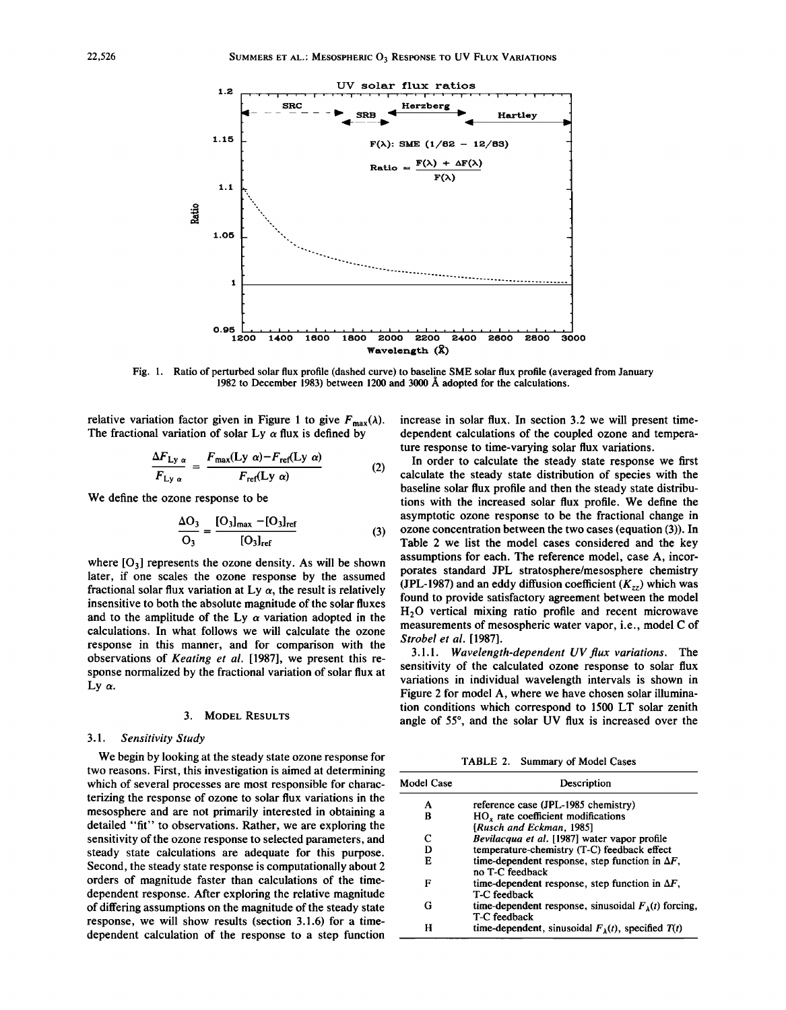

Fig. 1. Ratio of perturbed solar flux profile (dashed curve) to baseline SME solar flux profile (averaged from January 1982 to December 1983) between 1200 and 3000 Å adopted for the calculations.

relative variation factor given in Figure 1 to give  $F_{\text{max}}(\lambda)$ . The fractional variation of solar Ly  $\alpha$  flux is defined by

$$
\frac{\Delta F_{Ly\alpha}}{F_{Ly\alpha}} = \frac{F_{\text{max}}(Ly\alpha) - F_{\text{ref}}(Ly\alpha)}{F_{\text{ref}}(Ly\alpha)} \tag{2}
$$

We define the ozone response to be

$$
\frac{\Delta O_3}{O_3} = \frac{[O_3]_{\text{max}} - [O_3]_{\text{ref}}}{[O_3]_{\text{ref}}}
$$
(3)

where  $[O_3]$  represents the ozone density. As will be shown later, if one scales the ozone response by the assumed fractional solar flux variation at Ly  $\alpha$ , the result is relatively insensitive to both the absolute magnitude of the solar fluxes and to the amplitude of the Ly  $\alpha$  variation adopted in the calculations. In what follows we will calculate the ozone response in this manner, and for comparison with the observations of *Keating et al.* [1987], we present this response normalized by the fractional variation of solar flux at Ly  $\alpha$ .

# 3. MODEL RESULTS

### *3.1. Sensitivity Study*

We begin by looking at the steady state ozone response for two reasons. First, this investigation is aimed at determining which of several processes are most responsible for characterizing the response of ozone to solar flux variations in the mesosphere and are not primarily interested in obtaining a detailed "fit" to observations. Rather, we are exploring the sensitivity of the ozone response to selected parameters, and steady state calculations are adequate for this purpose. Second, the steady state response is computationally about 2 orders of magnitude faster than calculations of the timedependent response. After exploring the relative magnitude of differing assumptions on the magnitude of the steady state response, we will show results (section 3.1.6) for a timedependent calculation of the response to a step function increase in solar flux. In section 3.2 we will present timedependent calculations of the coupled ozone and temperature response to time-varying solar flux variations.

In order to calculate the steady state response we first calculate the steady state distribution of species with the baseline solar flux profile and then the steady state distributions with the increased solar flux profile. We define the asymptotic ozone response to be the fractional change in ozone concentration between the two cases (equation (3)). In Table 2 we list the model cases considered and the key assumptions for each. The reference model, case A, incorporates standard JPL stratosphere/mesosphere chemistry (JPL-1987) and an eddy diffusion coefficient  $(K_{zz})$  which was found to provide satisfactory agreement between the model H<sub>2</sub>O vertical mixing ratio profile and recent microwave measurements of mesospheric water vapor, i.e., model C of *Strobel et al. [1987].*

3.l.1. *Wavelength-dependent UV flux variations.* The sensitivity of the calculated ozone response to solar flux variations in individual wavelength intervals is shown in Figure 2 for model A, where we have chosen solar illumination conditions which correspond to 1500 LT solar zenith angle of 55°, and the solar UV flux is increased over the

TABLE 2. Summary of Model Cases

| Model Case | Description                                                                   |
|------------|-------------------------------------------------------------------------------|
| A          | reference case (JPL-1985 chemistry)                                           |
| в          | HO, rate coefficient modifications                                            |
|            | [Rusch and Eckman, 1985]                                                      |
| C          | Bevilacqua et al. [1987] water vapor profile                                  |
| D          | temperature-chemistry (T-C) feedback effect                                   |
| Е          | time-dependent response, step function in $\Delta F$ ,<br>no T-C feedback     |
| F          | time-dependent response, step function in $\Delta F$ ,<br>T-C feedback        |
| G          | time-dependent response, sinusoidal $F_{\lambda}(t)$ forcing,<br>T-C feedback |
| н          | time-dependent, sinusoidal $F_{\lambda}(t)$ , specified $T(t)$                |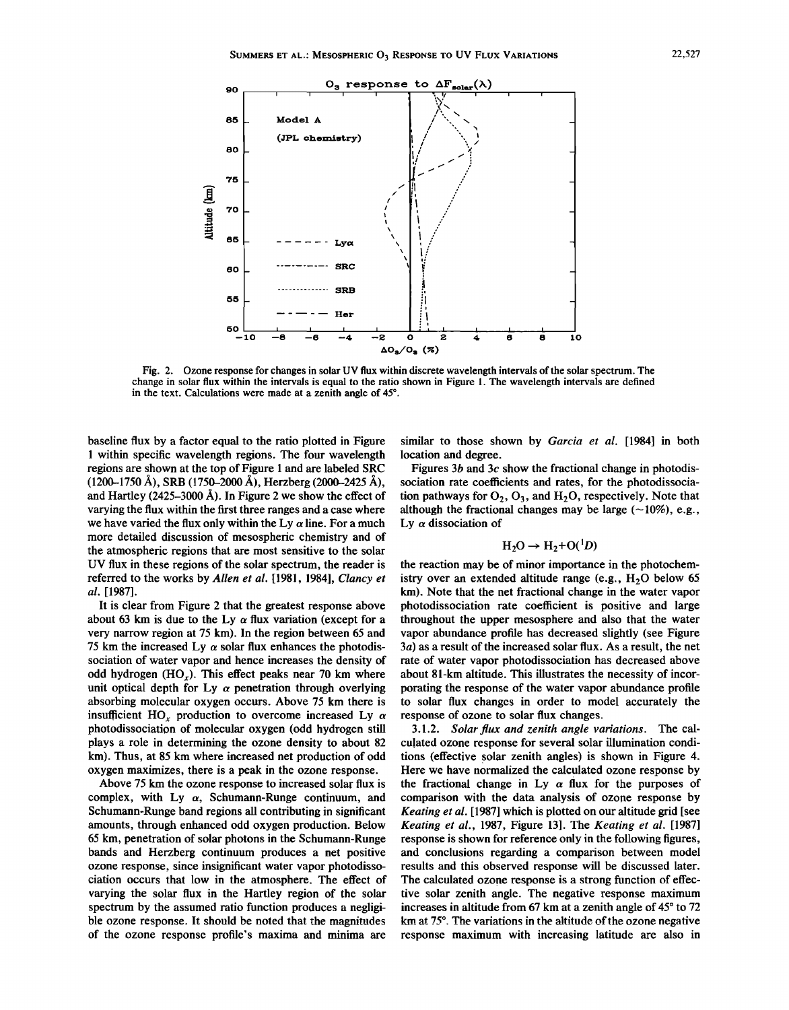

Fig. 2. Ozone response for changes in solar UV flux within discrete wavelength intervals ofthe solar spectrum. The change in solar flux within the intervals is equal to the ratio shown in Figure I. The wavelength intervals are defined in the text. Calculations were made at a zenith angle of 45°,

baseline flux by a factor equal to the ratio plotted in Figure 1 within specific wavelength regions. The four wavelength regions are shown at the top of Figure 1 and are labeled SRC  $(1200-1750 \text{ Å})$ , SRB  $(1750-2000 \text{ Å})$ , Herzberg  $(2000-2425 \text{ Å})$ , and Hartley (2425-3000 A). In Figure 2 we show the effect of varying the flux within the first three ranges and a case where we have varied the flux only within the Ly  $\alpha$  line. For a much more detailed discussion of mesospheric chemistry and of the atmospheric regions that are most sensitive to the solar UV flux in these regions of the solar spectrum, the reader is referred to the works by *Allen et al.* [1981, 1984], *Clancy et al. [1987].*

It is clear from Figure 2 that the greatest response above about 63 km is due to the Ly  $\alpha$  flux variation (except for a very narrow region at 75 km). In the region between 65 and 75 km the increased Ly  $\alpha$  solar flux enhances the photodissociation of water vapor and hence increases the density of odd hydrogen  $(HO<sub>x</sub>)$ . This effect peaks near 70 km where unit optical depth for Ly  $\alpha$  penetration through overlying absorbing molecular oxygen occurs. Above 75 km there is insufficient HO<sub>x</sub> production to overcome increased Ly  $\alpha$ photodissociation of molecular oxygen (odd hydrogen still plays a role in determining the ozone density to about 82 km). Thus, at 85 km where increased net production of odd oxygen maximizes, there is a peak in the ozone response.

Above 75 km the ozone response to increased solar flux is complex, with Ly  $\alpha$ , Schumann-Runge continuum, and Schumann-Runge band regions all contributing in significant amounts, through enhanced odd oxygen production. Below 65 km, penetration of solar photons in the Schumann-Runge bands and Herzberg continuum produces a net positive ozone response, since insignificant water vapor photodissociation occurs that low in the atmosphere. The effect of varying the solar flux in the Hartley region of the solar spectrum by the assumed ratio function produces a negligible ozone response. It should be noted that the magnitudes of the ozone response profile's maxima and minima are

similar to those shown by *Garcia et al.* [1984] in both location and degree.

Figures *3b* and *3c* show the fractional change in photodissociation rate coefficients and rates, for the photodissociation pathways for  $O_2$ ,  $O_3$ , and  $H_2O$ , respectively. Note that although the fractional changes may be large  $(\sim 10\%)$ , e.g., Ly  $\alpha$  dissociation of

$$
H_2O \rightarrow H_2 + O(^1D)
$$

the reaction may be of minor importance in the photochemistry over an extended altitude range (e.g.,  $H<sub>2</sub>O$  below 65 km). Note that the net fractional change in the water vapor photodissociation rate coefficient is positive and large throughout the upper mesosphere and also that the water vapor abundance profile has decreased slightly (see Figure  $3a$ ) as a result of the increased solar flux. As a result, the net rate of water vapor photodissociation has decreased above about 81-km altitude. This illustrates the necessity of incorporating the response of the water vapor abundance profile to solar flux changes in order to model accurately the response of ozone to solar flux changes.

*3.1.2. Solar flux and zenith angle variations.* The calculated ozone response for several solar illumination conditions (effective solar zenith angles) is shown in Figure 4. Here we have normalized the calculated ozone response by the fractional change in Ly  $\alpha$  flux for the purposes of comparison with the data analysis of ozone response by *Keating et al.* [1987] which is plotted on our altitude grid [see *Keating et aI.,* 1987, Figure 13]. The *Keating et al. [1987]* response is shown for reference only in the following figures, and conclusions regarding a comparison between model results and this observed response will be discussed later. The calculated ozone response is a strong function of effective solar zenith angle. The negative response maximum increases in altitude from 67 km at a zenith angle of 45° to 72 km at 75°. The variations in the altitude of the ozone negative response maximum with increasing latitude are also in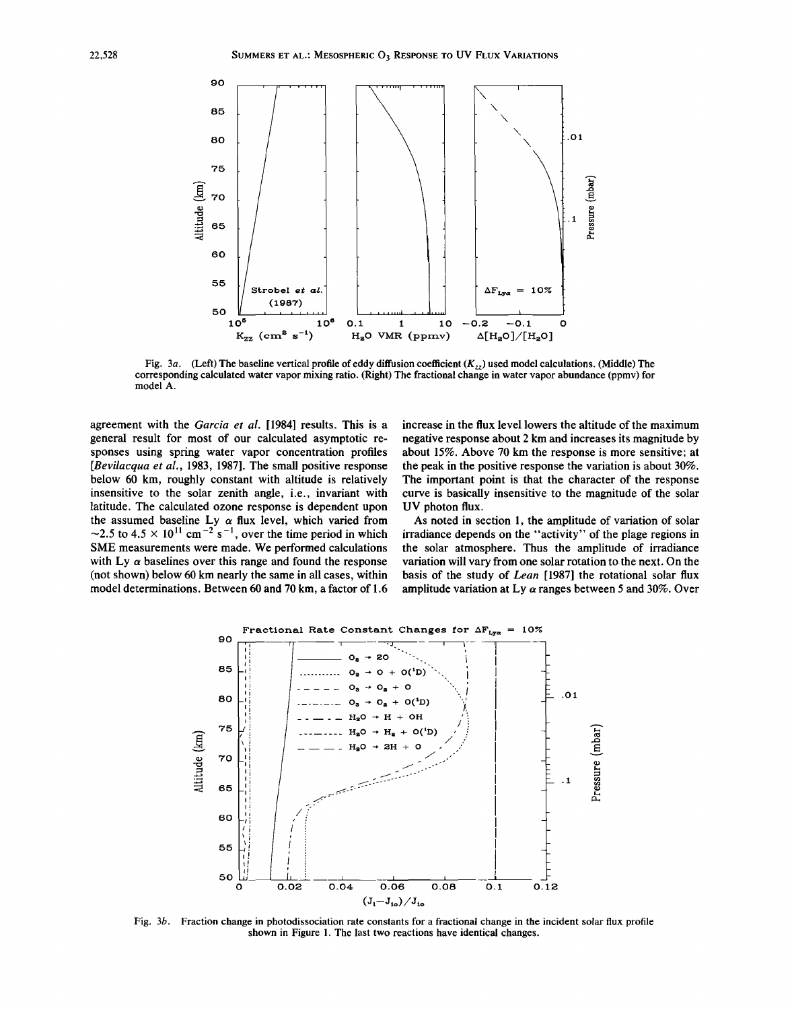

Fig. 3a. (Left) The baseline vertical profile of eddy diffusion coefficient  $(K_{72})$  used model calculations. (Middle) The corresponding calculated water vapor mixing ratio. (Right) The fractional change in water vapor abundance (ppmv) for model A.

agreement with the *Garcia et al.* [1984] results. This is a general result for most of our calculated asymptotic responses using spring water vapor concentration profiles *[Bevilacqua et al.,* 1983, 1987]. The small positive response below 60 km, roughly constant with altitude is relatively insensitive to the solar zenith angle, i.e., invariant with latitude. The calculated ozone response is dependent upon the assumed baseline Ly  $\alpha$  flux level, which varied from  $\sim$ 2.5 to 4.5  $\times$  10<sup>11</sup> cm<sup>-2</sup> s<sup>-1</sup>, over the time period in which SME measurements were made. We performed calculations with Ly  $\alpha$  baselines over this range and found the response (not shown) below 60 km nearly the same in all cases, within model determinations. Between 60 and 70 km, a factor of 1.6

increase in the flux level lowers the altitude of the maximum negative response about 2 km and increases its magnitude by about 15%. Above 70 km the response is more sensitive; at the peak in the positive response the variation is about 30%. The important point is that the character of the response curve is basically insensitive to the magnitude of the solar UV photon flux.

As noted in section I, the amplitude of variation of solar irradiance depends on the "activity" of the plage regions in the solar atmosphere. Thus the amplitude of irradiance variation will vary from one solar rotation to the next. On the basis of the study of *Lean* [1987] the rotational solar flux amplitude variation at Ly *a* ranges between 5 and 30%. Over



Fig. *3b.* Fraction change in photodissociation rate constants for a fractional change in the incident solar flux profile shown in Figure I. The last two reactions have identical changes.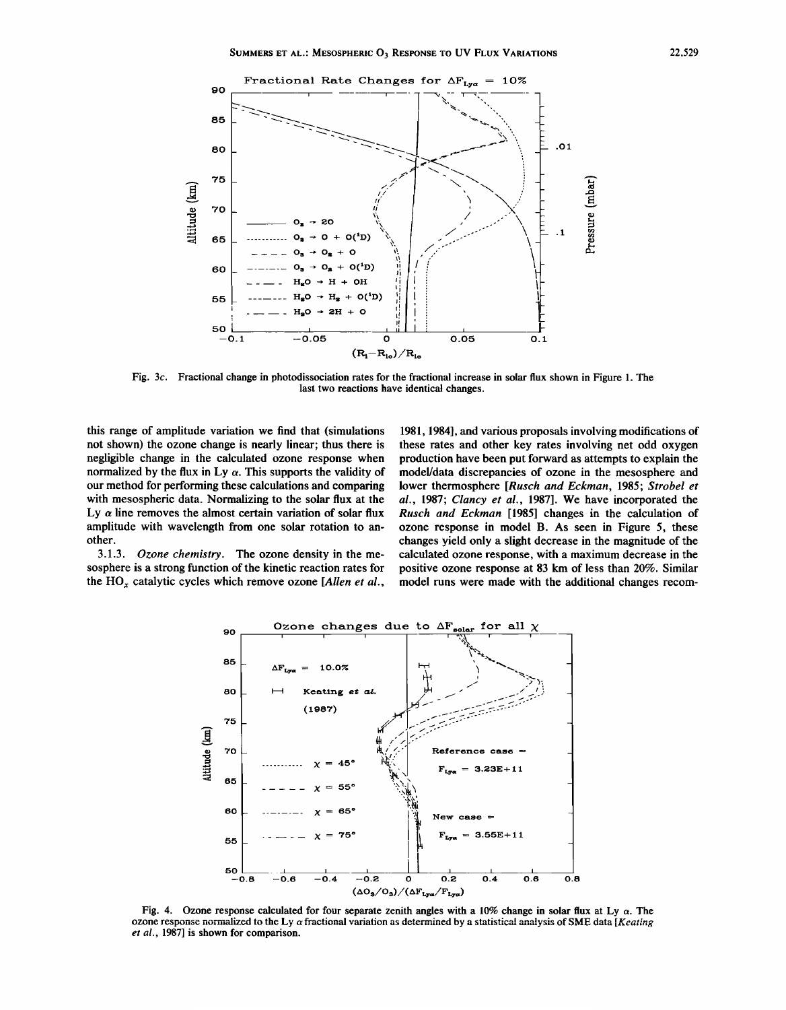

Fig. *3c.* Fractional change in photodissociation rates for the fractional increase in solar flux shown in Figure 1. The last two reactions have identical changes.

this range of amplitude variation we find that (simulations not shown) the ozone change is nearly linear; thus there is negligible change in the calculated ozone response when normalized by the flux in Ly  $\alpha$ . This supports the validity of our method for performing these calculations and comparing with mesospheric data. Normalizing to the solar flux at the Ly  $\alpha$  line removes the almost certain variation of solar flux amplitude with wavelength from one solar rotation to another.

*3.1.3. Ozone chemistry.* The ozone density in the mesosphere is a strong function of the kinetic reaction rates for the *HOx* catalytic cycles which remove ozone *[Allen et al.,*

1981,1984], and various proposals involving modifications of these rates and other key rates involving net odd oxygen production have been put forward as attempts to explain the modeUdata discrepancies of ozone in the mesosphere and lower thermosphere *[Rusch and Eckman,* 1985; *Strobel et aI.,* 1987; *Clancy et al.,* 1987]. We have incorporated the *Rusch and Eckman* [1985] changes in the calculation of ozone response in model B. As seen in Figure 5, these changes yield only a slight decrease in the magnitude of the calculated ozone response, with a maximum decrease in the positive ozone response at 83 km of less than 20%. Similar model runs were made with the additional changes recom-



Fig. 4. Ozone response calculated for four separate zenith angles with a 10% change in solar flux at Ly  $\alpha$ . The ozone response normalized to the Ly  $\alpha$  fractional variation as determined by a statistical analysis of SME data [Keating *et al.,* 1987] is shown for comparison.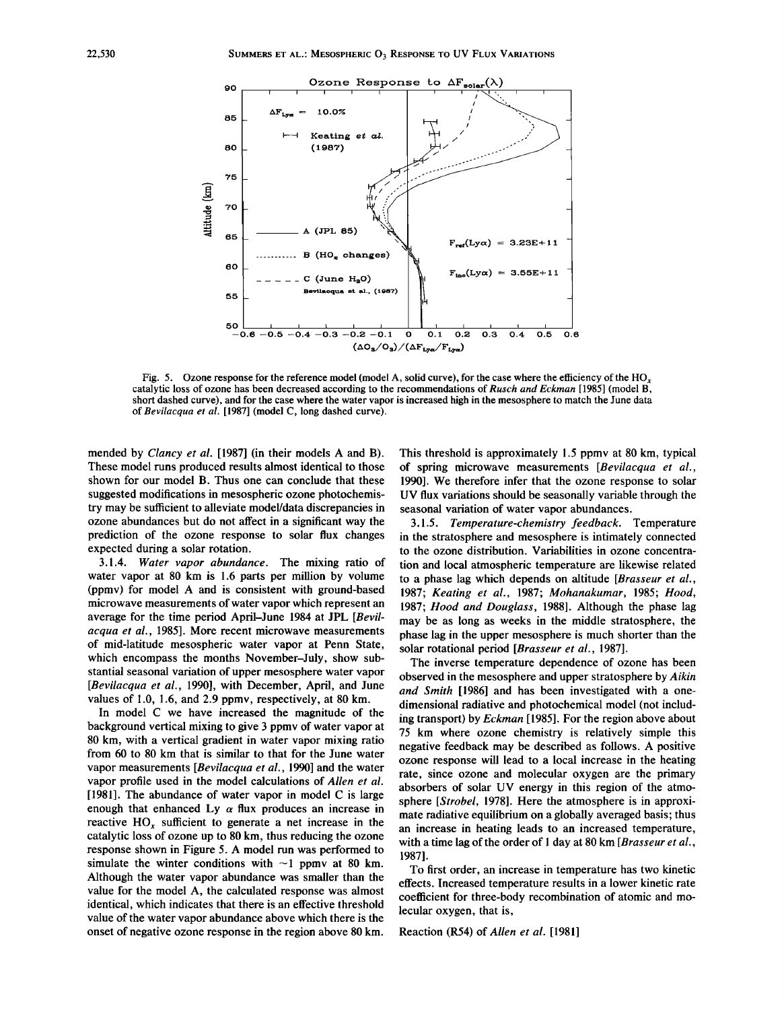

Fig. 5. Ozone response for the reference model (model A, solid curve), for the case where the efficiency of the HO<sub>y</sub> catalytic loss of ozone has been decreased according to the recommendations of *Rusch and Eckman* [1985] (model B, short dashed curve), and for the case where the water vapor is increased high in the mesosphere to match the June data of *Bevilacqua et al.* [1987] (model C, long dashed curve).

mended by *Clancy et at.* [1987] (in their models A and B). These model runs produced results almost identical to those shown for our model B. Thus one can conclude that these suggested modifications in mesospheric ozone photochemistry may be sufficient to alleviate model/data discrepancies in ozone abundances but do not affect in a significant way the prediction of the ozone response to solar flux changes expected during a solar rotation.

*3.1.4. Water vapor abundance.* The mixing ratio of water vapor at 80 km is 1.6 parts per million by volume (ppmv) for model A and is consistent with ground-based microwave measurements of water vapor which represent an average for the time period April-June 1984 at JPL *[Bevilacqua et al.,* 1985]. More recent microwave measurements of mid-latitude mesospheric water vapor at Penn State, which encompass the months November-July, show substantial seasonal variation of upper mesosphere water vapor *[Bevilacqua et al.,* 1990], with December, April, and June values of 1.0, 1.6, and 2.9 ppmv, respectively, at 80 km.

In model C we have increased the magnitude of the background vertical mixing to give 3 ppmv of water vapor at 80 km, with a vertical gradient in water vapor mixing ratio from 60 to 80 km that is similar to that for the June water vapor measurements *[Bevilacqua et al.,* 1990] and the water vapor profile used in the model calculations of *Allen et al.* [1981]. The abundance of water vapor in model C is large enough that enhanced Ly  $\alpha$  flux produces an increase in reactive HO*<sup>x</sup>* sufficient to generate a net increase in the catalytic loss of ozone up to 80 km, thus reducing the ozone response shown in Figure 5. A model run was performed to simulate the winter conditions with  $\sim$ 1 ppmv at 80 km. Although the water vapor abundance was smaller than the value for the model A, the calculated response was almost identical, which indicates that there is an effective threshold value of the water vapor abundance above which there is the onset of negative ozone response in the region above 80 km.

This threshold is approximately 1.5 ppmv at 80 km, typical of spring microwave measurements *[Bevilacqua et al.,* 1990]. We therefore infer that the ozone response to solar UV flux variations should be seasonally variable through the seasonal variation of water vapor abundances.

*3.1.5. Temperature-chemistry feedback.* Temperature in the stratosphere and mesosphere is intimately connected to the ozone distribution. Variabilities in ozone concentration and local atmospheric temperature are likewise related to a phase lag which depends on altitude *[Brasseur et at., 1987; Keating et al.,* 1987; *Mohanakumar,* 1985; *Hood, 1987; Hood and Douglass,* 1988]. Although the phase lag may be as long as weeks in the middle stratosphere, the phase lag in the upper mesosphere is much shorter than the solar rotational period *[Brasseur et al., 1987].*

The inverse temperature dependence of ozone has been observed in the mesosphere and upper stratosphere by *Aikin and Smith* [1986] and has been investigated with a onedimensional radiative and photochemical model (not including transport) by *Eckman* [1985]. For the region above about 75 km where ozone chemistry is relatively simple this negative feedback may be described as follows. A positive ozone response will lead to a local increase in the heating rate, since ozone and molecular oxygen are the primary absorbers of solar UV energy in this region of the atmosphere *[Strobel,* 1978]. Here the atmosphere is in approximate radiative equilibrium on a globally averaged basis; thus an increase in heating leads to an increased temperature, with a time lag of the order of 1 day at 80 km *[Brasseur et al.,* 1987].

To first order, an increase in temperature has two kinetic effects. Increased temperature results in a lower kinetic rate coefficient for three-body recombination of atomic and molecular oxygen, that is,

Reaction (R54) of *Allen et al. [1981]*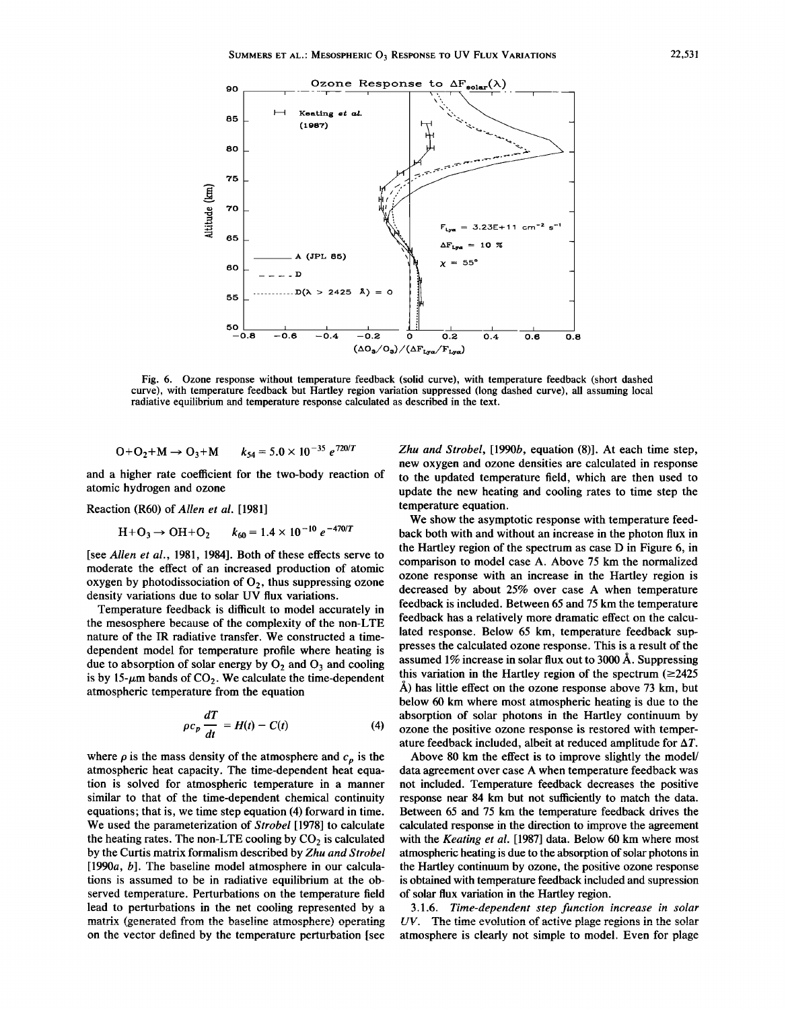

Fig. 6. Ozone response without temperature feedback (solid curve), with temperature feedback (short dashed curve), with temperature feedback but Hartley region variation suppressed (long dashed curve), all assuming local radiative equilibrium and temperature response calculated as described in the text.

$$
O + O_2 + M \rightarrow O_3 + M \qquad k_{54} = 5.0 \times 10^{-35} e^{720/T}
$$

and a higher rate coefficient for the two-body reaction of atomic hydrogen and ozone

Reaction (R60) of *Allen et al. [1981]*

$$
H + O_3 \rightarrow OH + O_2 \qquad k_{60} = 1.4 \times 10^{-10} e^{-470/T}
$$

[see *Allen et al.,* 1981, 1984]. Both of these effects serve to moderate the effect of an increased production of atomic moderate the effect of an increased production of atomic<br>oxygen by photodissociation of O<sub>2</sub>, thus suppressing ozone density variations due to solar UV flux variations.

Temperature feedback is difficult to model accurately in the mesosphere because of the complexity of the non-LTE nature of the IR radiative transfer. We constructed a timedependent model for temperature profile where heating is due to absorption of solar energy by  $O_2$  and  $O_3$  and cooling is by 15- $\mu$ m bands of CO<sub>2</sub>. We calculate the time-dependent atmospheric temperature from the equation

$$
\rho c_p \frac{dT}{dt} = H(t) - C(t) \tag{4}
$$

where  $\rho$  is the mass density of the atmosphere and  $c_p$  is the atmospheric heat capacity. The time-dependent heat equation is solved for atmospheric temperature in a manner similar to that of the time-dependent chemical continuity equations; that is, we time step equation (4) forward in time. We used the parameterization of *Strobel* [1978] to calculate the heating rates. The non-LTE cooling by  $CO<sub>2</sub>$  is calculated by the Curtis matrix formalism described by *Zhu and Strobel* [1990 $a, b$ ]. The baseline model atmosphere in our calculations is assumed to be in radiative equilibrium at the observed temperature. Perturbations on the temperature field lead to perturbations in the net cooling represented by a **matrix (generated from the baseline atmosphere) operating** on the vector defined by the temperature perturbation [see *Zhu and Strobel,* [1990b, equation (8)]. At each time step, new oxygen and ozone densities are calculated in response to the updated temperature field, which are then used to update the new heating and cooling rates to time step the temperature equation.

We show the asymptotic response with temperature feedback both with and without an increase in the photon flux in the Hartley region of the spectrum as case D in Figure 6, in comparison to model case A. Above 75 km the normalized ozone response with an increase in the Hartley region is decreased by about 25% over case A when temperature feedback is included. Between 65 and 75 km the temperature feedback has a relatively more dramatic effect on the calculated response. Below 65 km, temperature feedback suppresses the calculated ozone response. This is a result of the assumed 1% increase in solar flux out to 3000 Å. Suppressing this variation in the Hartley region of the spectrum  $(\geq 2425)$  $\AA$ ) has little effect on the ozone response above 73 km, but below 60 km where most atmospheric heating is due to the absorption of solar photons in the Hartley continuum by ozone the positive ozone response is restored with temperature feedback included, albeit at reduced amplitude for  $\Delta T$ .

Above 80 km the effect is to improve slightly the model/ data agreement over case A when temperature feedback was not included. Temperature feedback decreases the positive response near 84 km but not sufficiently to match the data. Between 65 and 75 km the temperature feedback drives the calculated response in the direction to improve the agreement with the *Keating et al.* [1987] data. Below 60 km where most atmospheric heating is due to the absorption of solar photons in the Hartley continuum by ozone, the positive ozone response is obtained with temperature feedback included and supression of solar flux variation in the Hartley region.

*3.1.6. Time-dependent step function increase in solar [IV.* **The time evolution of active plage regions in the solar** atmosphere is clearly not simple to model. Even for plage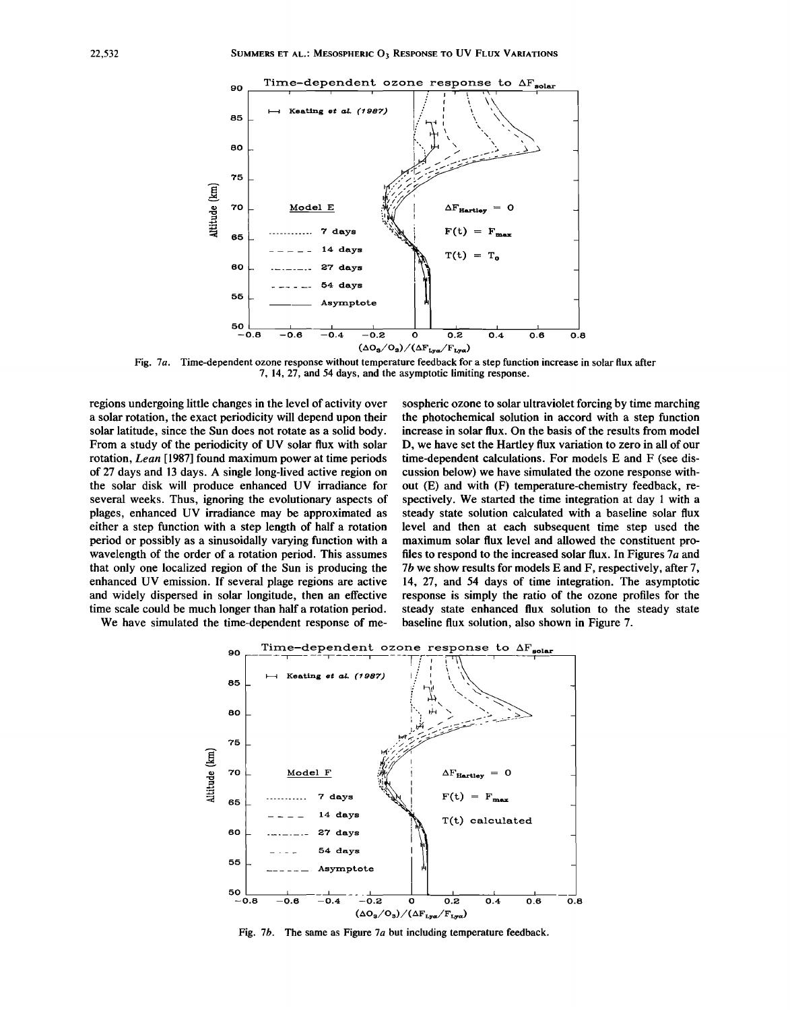

Fig. *7a.* Time-dependent ozone response without temperature feedback for a step function increase in solar flux after 7, 14,27, and 54 days, and the asymptotic limiting response.

regions undergoing little changes in the level of activity over a solar rotation, the exact periodicity will depend upon their solar latitude, since the Sun does not rotate as a solid body. From a study of the periodicity of UV solar flux with solar rotation, *Lean* [1987] found maximum power at time periods of 27 days and 13 days. A single long-lived active region on the solar disk will produce enhanced UV irradiance for several weeks. Thus, ignoring the evolutionary aspects of plages, enhanced UV irradiance may be approximated as either a step function with a step length of half a rotation period or possibly as a sinusoidally varying function with a wavelength of the order of a rotation period. This assumes that only one localized region of the Sun is producing the enhanced UV emission. If several plage regions are active and widely dispersed in solar longitude, then an effective time scale could be much longer than half a rotation period. We have simulated the time-dependent response of me-

sospheric ozone to solar ultraviolet forcing by time marching the photochemical solution in accord with a step function increase in solar flux. On the basis of the results from model D, we have set the Hartley flux variation to zero in all of our time-dependent calculations. For models E and F (see discussion below) we have simulated the ozone response without (E) and with (F) temperature-chemistry feedback, respectively. We started the time integration at day 1 with a steady state solution calculated with a baseline solar flux level and then at each subsequent time step used the maximum solar flux level and allowed the constituent profiles to respond to the increased solar flux. In Figures *7a* and 7b we show results for models E and F, respectively, after 7, 14, 27, and 54 days of time integration. The asymptotic response is simply the ratio of the ozone profiles for the steady state enhanced flux solution to the steady state baseline flux solution, also shown in Figure 7.



Fig. *7b.* The same as Figure *7a* but including temperature feedback.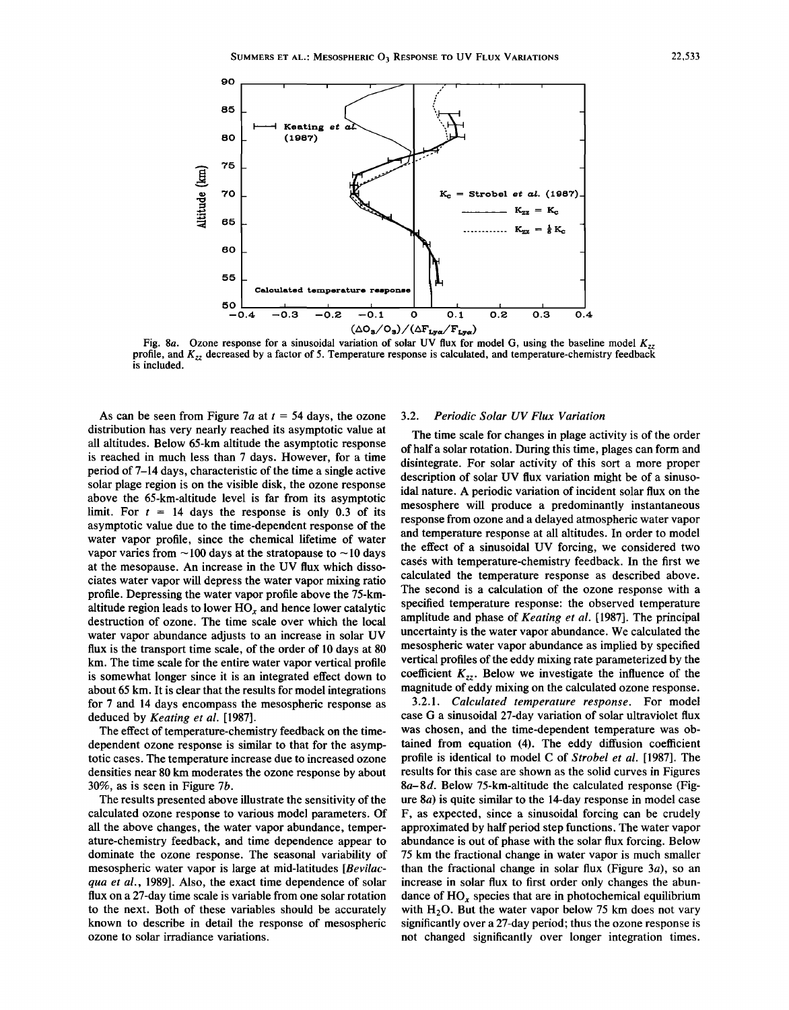

Fig. 8a. Ozone response for a sinusoidal variation of solar UV flux for model G, using the baseline model  $K<sub>2</sub>$ profile, and *Kzz* decreased by a factor of 5. Temperature response is calculated, and temperature-chemistry feedback is included.

As can be seen from Figure *7a* at *t* = 54 days, the ozone distribution has very nearly reached its asymptotic value at all altitudes. Below 65-km altitude the asymptotic response is reached in much less than 7 days. However, for a time period of 7-14 days, characteristic of the time a single active solar plage region is on the visible disk, the ozone response above the 65-km-altitude level is far from its asymptotic limit. For  $t = 14$  days the response is only 0.3 of its asymptotic value due to the time-dependent response of the water vapor profile, since the chemical lifetime of water vapor varies from  $\sim$ 100 days at the stratopause to  $\sim$ 10 days at the mesopause. An increase in the UV flux which dissociates water vapor will depress the water vapor mixing ratio profile. Depressing the water vapor profile above the 75-kmaltitude region leads to lower HO*<sup>x</sup>* and hence lower catalytic destruction of ozone. The time scale over which the local water vapor abundance adjusts to an increase in solar UV flux is the transport time scale, of the order of 10 days at 80 km. The time scale for the entire water vapor vertical profile is somewhat longer since it is an integrated effect down to about 65 km. It is clear that the results for model integrations for 7 and 14 days encompass the mesospheric response as deduced by *Keating et al.* [1987].

The effect of temperature-chemistry feedback on the timedependent ozone response is similar to that for the asymptotic cases. The temperature increase due to increased ozone densities near 80 km moderates the ozone response by about 30%, as is seen in Figure 7b.

The results presented above illustrate the sensitivity of the calculated ozone response to various model parameters. Of all the above changes, the water vapor abundance, temperature-chemistry feedback, and time dependence appear to dominate the ozone response. The seasonal variability of mesospheric water vapor is large at mid-latitudes *[Bevilacqua et al.,* 1989]. Also, the exact time dependence of solar flux on a 27-day time scale is variable from one solar rotation to the next. Both of these variables should be accurately known to describe in detail the response of mesospheric ozone to solar irradiance variations.

### *3.2. Periodic Solar UV Flux Variation*

The time scale for changes in plage activity is of the order of half a solar rotation. During this time, plages can form and disintegrate. For solar activity of this sort a more proper description of solar UV flux variation might be of a sinusoidal nature. A periodic variation of incident solar flux on the mesosphere will produce a predominantly instantaneous response from ozone and a delayed atmospheric water vapor and temperature response at all altitudes. In order to model the effect of a sinusoidal UV forcing, we considered two cases with temperature-chemistry feedback. In the first we calculated the temperature response as described above. The second is a calculation of the ozone response with a specified temperature response: the observed temperature amplitude and phase of *Keating et al.* [1987]. The principal uncertainty is the water vapor abundance. We calculated the mesospheric water vapor abundance as implied by specified vertical profiles of the eddy mixing rate parameterized by the coefficient  $K_{zz}$ . Below we investigate the influence of the magnitude of eddy mixing on the calculated ozone response.

*3.2.1. Calculated temperature response.* For model case G a sinusoidal 27-day variation of solar ultraviolet flux was chosen, and the time-dependent temperature was obtained from equation (4). The eddy diffusion coefficient profile is identical to model C of *Strobel et al.* [1987]. The results for this case are shown as the solid curves in Figures *8a-8d.* Below 75-km-altitude the calculated response (Figure *8a)* is quite similar to the 14-day response in model case F, as expected, since a sinusoidal forcing can be crudely approximated by half period step functions. The water vapor abundance is out of phase with the solar flux forcing. Below 75 km the fractional change in water vapor is much smaller than the fractional change in solar flux (Figure  $3a$ ), so an increase in solar flux to first order only changes the abundance of HO*<sup>x</sup>* species that are in photochemical equilibrium with  $H<sub>2</sub>O$ . But the water vapor below 75 km does not vary significantly over a 27-day period; thus the ozone response is not changed significantly over longer integration times.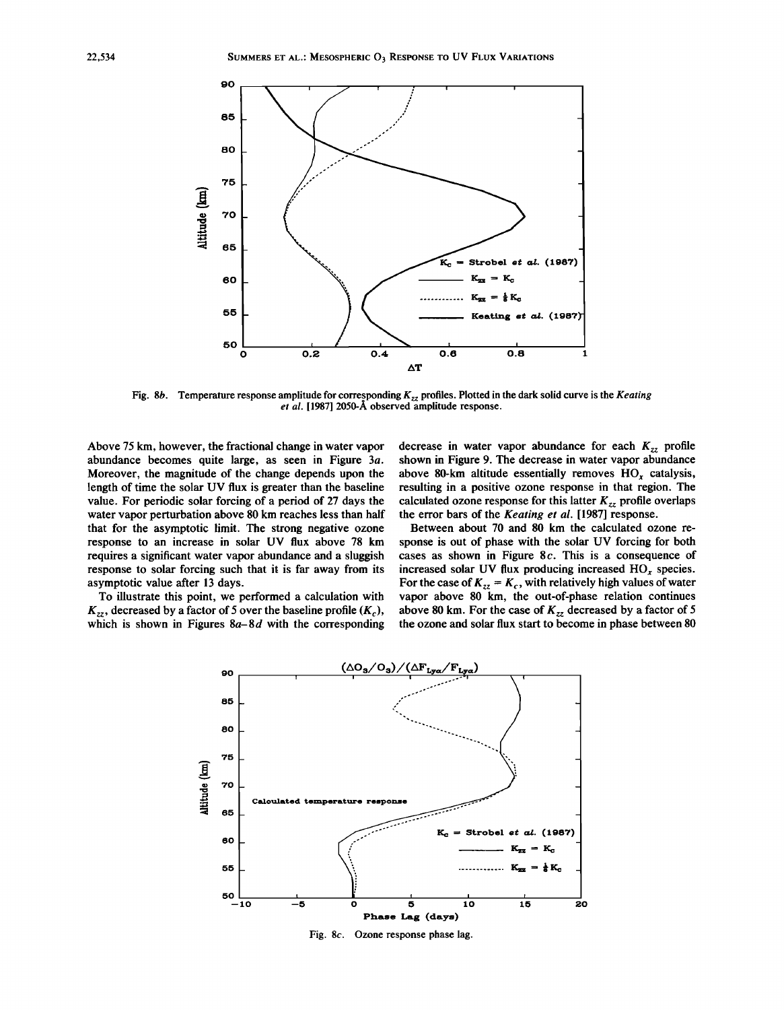

Fig. 8b. Temperature response amplitude for corresponding  $K_{zz}$  profiles. Plotted in the dark solid curve is the *Keating et al.* [1987] 2050-A observed amplitude response.

Above 75 km, however, the fractional change in water vapor abundance becomes quite large, as seen in Figure *3a.* Moreover, the magnitude of the change depends upon the length of time the solar UV flux is greater than the baseline value. For periodic solar forcing of a period of 27 days the water vapor perturbation above 80 km reaches less than half that for the asymptotic limit. The strong negative ozone response to an increase in solar UV flux above 78 km requires a significant water vapor abundance and a sluggish response to solar forcing such that it is far away from its asymptotic value after 13 days.

To illustrate this point, we performed a calculation with  $K_{zz}$ , decreased by a factor of 5 over the baseline profile  $(K_c)$ , which is shown in Figures *8a-8d* with the corresponding

decrease in water vapor abundance for each  $K_{zz}$  profile shown in Figure 9. The decrease in water vapor abundance above 80-km altitude essentially removes  $HO_x$  catalysis, resulting in a positive ozone response in that region. The calculated ozone response for this latter  $K_{zz}$  profile overlaps the error bars of the *Keating et al.* [1987] response.

Between about 70 and 80 km the calculated ozone response is out of phase with the solar UV forcing for both cases as shown in Figure 8*c.* This is a consequence of increased solar UV flux producing increased  $HO<sub>x</sub>$  species. For the case of  $K_{zz} = K_c$ , with relatively high values of water vapor above 80 km, the out-of-phase relation continues above 80 km. For the case of  $K_{zz}$  decreased by a factor of 5 the ozone and solar flux start to become in phase between 80

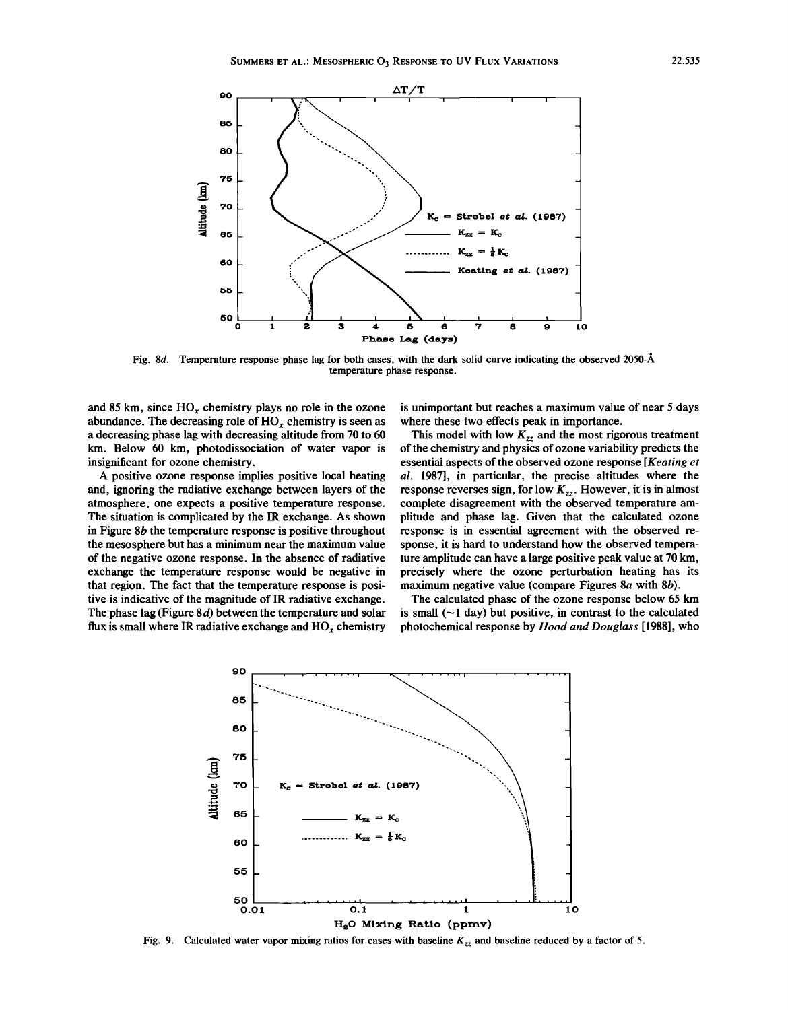

Fig. *8d.* Temperature response phase lag for both cases, with the dark solid curve indicating the observed 2050-A temperature phase response.

and 85 km, since HO*<sup>x</sup>* chemistry plays no role in the ozone abundance. The decreasing role of  $HO<sub>r</sub>$  chemistry is seen as a decreasing phase lag with decreasing altitude from 70 to 60 km. Below 60 km, photodissociation of water vapor is insignificant for ozone chemistry.

A positive ozone response implies positive local heating and, ignoring the radiative exchange between layers of the atmosphere, one expects a positive temperature response. The situation is complicated by the IR exchange. As shown in Figure 8b the temperature response is positive throughout the mesosphere but has a minimum near the maximum value of the negative ozone response. In the absence of radiative exchange the temperature response would be negative in that region. The fact that the temperature response is positive is indicative of the magnitude of IR radiative exchange. The phase lag (Figure 8*d)* between the temperature and solar flux is small where IR radiative exchange and HO*<sup>x</sup>* chemistry

is unimportant but reaches a maximum value of near 5 days where these two effects peak in importance.

This model with low  $K_{zz}$  and the most rigorous treatment ofthe chemistry and physics of ozone variability predicts the essential aspects of the observed ozone response *[Keating et*] *al.* 1987], in particular, the precise altitudes where the response reverses sign, for low  $K_{zz}$ . However, it is in almost complete disagreement with the observed temperature amplitude and phase lag. Given that the calculated ozone response is in essential agreement with the observed response, it is hard to understand how the observed temperature amplitude can have a large positive peak value at 70 km, precisely where the ozone perturbation heating has its maximum negative value (compare Figures 8a with 8b).

The calculated phase of the ozone response below 65 km is small  $(-1$  day) but positive, in contrast to the calculated photochemical response by *Hood and Douglass* [1988], who



Fig. 9. Calculated water vapor mixing ratios for cases with baseline *K<sub>zz</sub>* and baseline reduced by a factor of 5.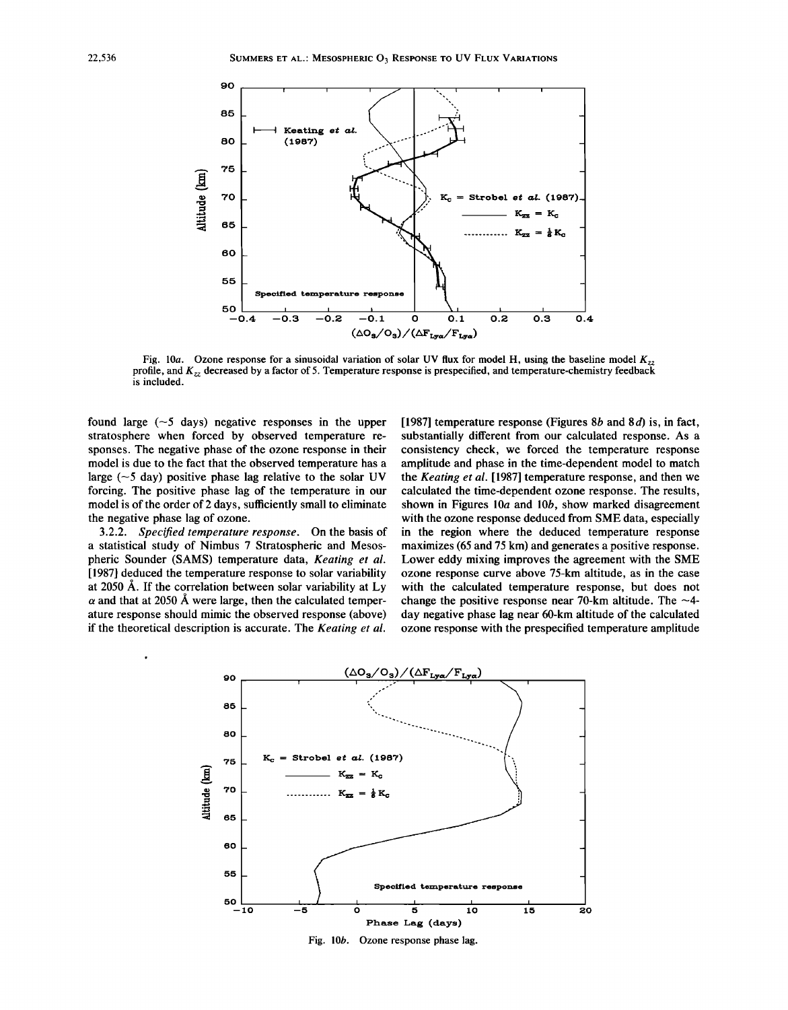

Fig. 10a. Ozone response for a sinusoidal variation of solar UV flux for model H, using the baseline model  $K_{zz}$  profile, and  $K_{zz}$  decreased by a factor of 5. Temperature response is prespecified, and temperature-chemi is included.

found large  $(-5 \text{ days})$  negative responses in the upper stratosphere when forced by observed temperature responses. The negative phase of the ozone response in their model is due to the fact that the observed temperature has a large  $(-5 \text{ day})$  positive phase lag relative to the solar UV forcing. The positive phase lag of the temperature in our model is of the order of 2 days, sufficiently small to eliminate the negative phase lag of ozone.

*3.2.2. Specified temperature response.* On the basis of a statistical study of Nimbus 7 Stratospheric and Mesospheric Sounder (SAMS) temperature data, *Keating et al.* [1987] deduced the temperature response to solar variability at 2050 A. If the correlation between solar variability at Ly  $\alpha$  and that at 2050 Å were large, then the calculated temperature response should mimic the observed response (above) if the theoretical description is accurate. The *Keating et at.*

[1987] temperature response (Figures  $8b$  and  $8d$ ) is, in fact, substantially different from our calculated response. As a consistency check, we forced the temperature response amplitude and phase in the time-dependent model to match the *Keating et al.* [1987] temperature response, and then we calculated the time-dependent ozone response. The results, shown in Figures 10a and 10b, show marked disagreement with the ozone response deduced from SME data, especially in the region where the deduced temperature response maximizes (65 and 75 km) and generates a positive response. Lower eddy mixing improves the agreement with the SME ozone response curve above 75-km altitude, as in the case with the calculated temperature response, but does not change the positive response near 70-km altitude. The  $\sim$ 4day negative phase lag near 6O-km altitude of the calculated ozone response with the prespecified temperature amplitude



Fig. *lOb.* Ozone response phase lag.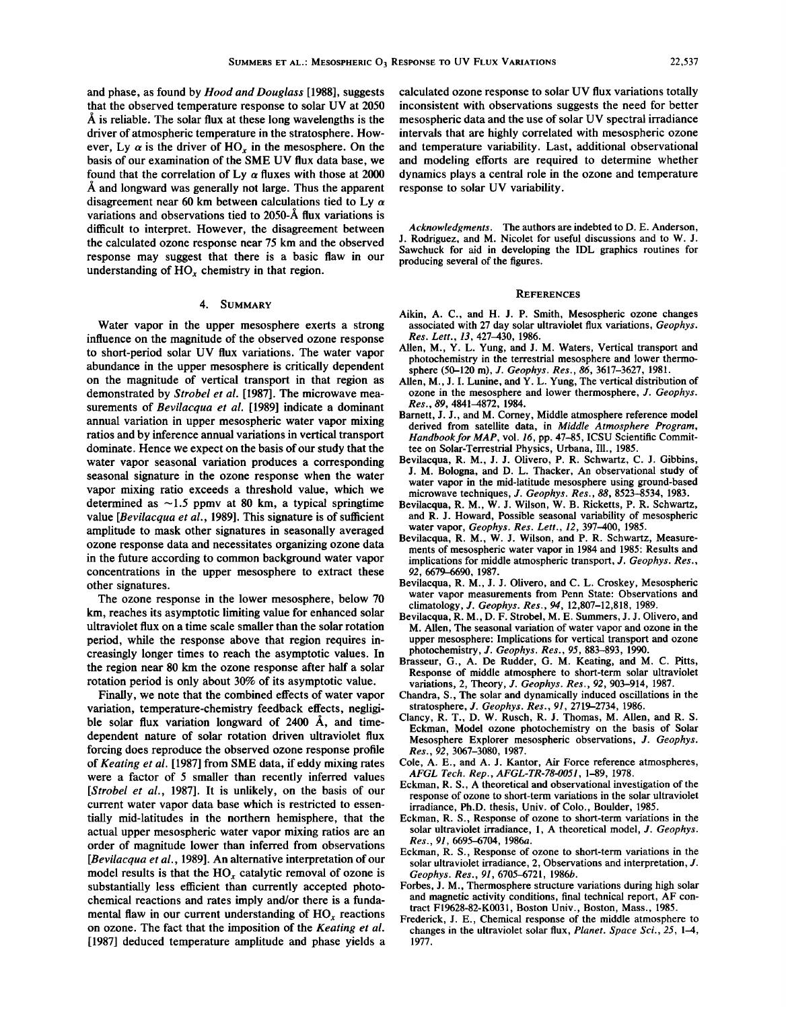and phase, as found by *Hood and Douglass* [1988], suggests that the observed temperature response to solar UV at 2050  $\AA$  is reliable. The solar flux at these long wavelengths is the driver of atmospheric temperature in the stratosphere. However, Ly  $\alpha$  is the driver of HO<sub>x</sub> in the mesosphere. On the basis of our examination of the SME UV flux data base, we found that the correlation of Ly  $\alpha$  fluxes with those at 2000 A and longward was generally not large. Thus the apparent disagreement near 60 km between calculations tied to Ly *a* variations and observations tied to 2050-A flux variations is difficult to interpret. However, the disagreement between the calculated ozone response near 75 km and the observed response may suggest that there is a basic flaw in our understanding of HO*<sup>x</sup>* chemistry in that region.

# 4. SUMMARY

Water vapor in the upper mesosphere exerts a strong influence on the magnitude of the observed ozone response to short-period solar UV flux variations. The water vapor abundance in the upper mesosphere is critically dependent on the magnitude of vertical transport in that region as demonstrated by *Strobel et al.* [1987]. The microwave measurements of *Bevilacqua et al.* [1989] indicate a dominant annual variation in upper mesospheric water vapor mixing ratios and by inference annual variations in vertical transport dominate. Hence we expect on the basis of our study that the water vapor seasonal variation produces a corresponding seasonal signature in the ozone response when the water vapor mixing ratio exceeds a threshold value, which we determined as  $\sim$ 1.5 ppmv at 80 km, a typical springtime value *[Bevilacqua et al., 1989]*. This signature is of sufficient amplitude to mask other signatures in seasonally averaged ozone response data and necessitates organizing ozone data in the future according to common background water vapor concentrations in the upper mesosphere to extract these other signatures.

The ozone response in the lower mesosphere, below 70 km, reaches its asymptotic limiting value for enhanced solar ultraviolet flux on a time scale smaller than the solar rotation period, while the response above that region requires increasingly longer times to reach the asymptotic values. In the region near 80 km the ozone response after half a solar rotation period is only about 30% of its asymptotic value.

Finally, we note that the combined effects of water vapor variation, temperature-chemistry feedback effects, negligible solar flux variation longward of 2400 Å, and timedependent nature of solar rotation driven ultraviolet flux forcing does reproduce the observed ozone response profile of *Keating et al.* [1987] from SME data, if eddy mixing rates were a factor of 5 smaller than recently inferred values *[Strobel et aI.,* 1987]. It is unlikely, on the basis of our current water vapor data base which is restricted to essentially mid-latitudes in the northern hemisphere, that the actual upper mesospheric water vapor mixing ratios are an order of magnitude lower than inferred from observations *[Bevilacqua et aI.,* 1989]. An alternative interpretation of our model results is that the HO*<sup>x</sup>* catalytic removal of ozone is substantially less efficient than currently accepted photochemical reactions and rates imply and/or there is a fundamental flaw in our current understanding of HO*<sup>x</sup>* reactions on ozone. The fact that the imposition of the *Keating et al.* [1987] deduced temperature amplitude and phase yields a calculated ozone response to solar UV flux variations totally inconsistent with observations suggests the need for better mesospheric data and the use of solar UV spectral irradiance intervals that are highly correlated with mesospheric ozone and temperature variability. Last, additional observational and modeling efforts are required to determine whether dynamics plays a central role in the ozone and temperature response to solar UV variability.

*Acknowledgments.* The authors are indebted to D. E. Anderson, J. Rodriguez, and M. Nicolet for useful discussions and to W. J. Sawchuck for aid in developing the IDL graphics routines for producing several of the figures.

# **REFERENCES**

- Aikin, A. C., and H. J. P. Smith, Mesospheric ozone changes associated with 27 day solar ultraviolet flux variations, *Geophys. Res. Lett.,* 13,427-430, 1986.
- Allen, M., Y. L. Yung, and J. M. Waters, Vertical transport and photochemistry in the terrestrial mesosphere and lower thennosphere (50-120 m), J. *Geophys. Res.,* 86,3617-3627, 1981.
- Allen, M., J. I. Lunine, and Y. L. Yung, The vertical distribution of ozone in the mesosphere and lower thermosphere, J. *Geophys. Res.,* 89, 4841-4872, 1984.
- Barnett, J. J., and M. Corney, Middle atmosphere reference model derived from satellite data, in *Middle Atmosphere Program, Handbookfor MAP,* vol. 16, pp. 47-85, ICSU Scientific Committee on Solar-Terrestrial Physics, Urbana, III., 1985.
- Bevilacqua, R. M., J. J. Olivero, P. R. Schwartz, C. J. Gibbins, J. M. Bologna, and D. L. Thacker, An observational study of water vapor in the mid-latitude mesosphere using ground-based microwave techniques, J. *Geophys. Res.,* 88, 8523-8534, 1983.
- Bevilacqua, R. M., W. J. Wilson, W. B. Ricketts, P. R. Schwartz, and R. J. Howard, Possible seasonal variability of mesospheric water vapor, *Geophys. Res. Lett.,* 12, 397-400, 1985.
- Bevilacqua, R. M., W. J. Wilson, and P. R. Schwartz, Measurements of mesospheric water vapor in 1984 and 1985: Results and implications for middle atmospheric transport, J. *Geophys. Res.,* 92, 6679-6690, 1987.
- Bevilacqua, R. M., J. J. Olivero, and C. L. Croskey, Mesospheric water vapor measurements from Penn State: Observations and climatology, J. *Geophys. Res.,* 94, 12,807-12,818, 1989.
- Bevilacqua, R. M., D. F. Strobel, M. E. Summers, J. J. Olivero, and M. Allen, The seasonal variation of water vapor and ozone in the upper mesosphere: Implications for vertical transport and ozone photochemistry, J. *Geophys. Res.,* 95, 883-893, 1990.
- Brasseur, G., A. De Rudder, G. M. Keating, and M. C. Pitts, Response of middle atmosphere to short-term solar ultraviolet variations, 2, Theory, J. *Geophys. Res.,* 92, 903-914, 1987.
- Chandra, *S.,* The solar and dynamically induced oscillations in the stratosphere, J. *Geophys. Res.,* 91, 2719-2734, 1986.
- Clancy, R. T., D. W. Rusch, R. J. Thomas, M. Allen, and R. S. Eckman, Model ozone photochemistry on the basis of Solar Mesosphere Explorer mesospheric observations, J. *Geophys. Res.,* 92, 3067-3080, 1987.
- Cole, A. E., and A. J. Kantor, Air Force reference atmospheres, *AFGL Tech. Rep., AFGL-TR-78-0051,* 1-89, 1978.
- Eckman, R. S., A theoretical and observational investigation of the response of ozone to short-term variations in the solar ultraviolet irradiance, Ph.D. thesis, Univ. of Colo., Boulder, 1985.
- Eckman, R. *S.,* Response of ozone to short-term variations in the solar ultraviolet irradiance, 1, A theoretical model, J. *Geophys. Res., 91, 6695-6704, 1986a.*
- Eckman, R. S., Response of ozone to short-term variations in the solar ultraviolet irradiance, 2, Observations and interpretation, J. *Geophys. Res., 91, 6705-6721, 1986b.*
- Forbes, J. M., Thermosphere structure variations during high solar and magnetic activity conditions, final technical report, AF contract FI9628-82-KOO31, Boston Univ., Boston, Mass., 1985.
- Frederick, J. E., Chemical response of the middle atmosphere to changes in the ultraviolet solar flux, *Planet. Space Sci.,* 25, 1-4, 1977.